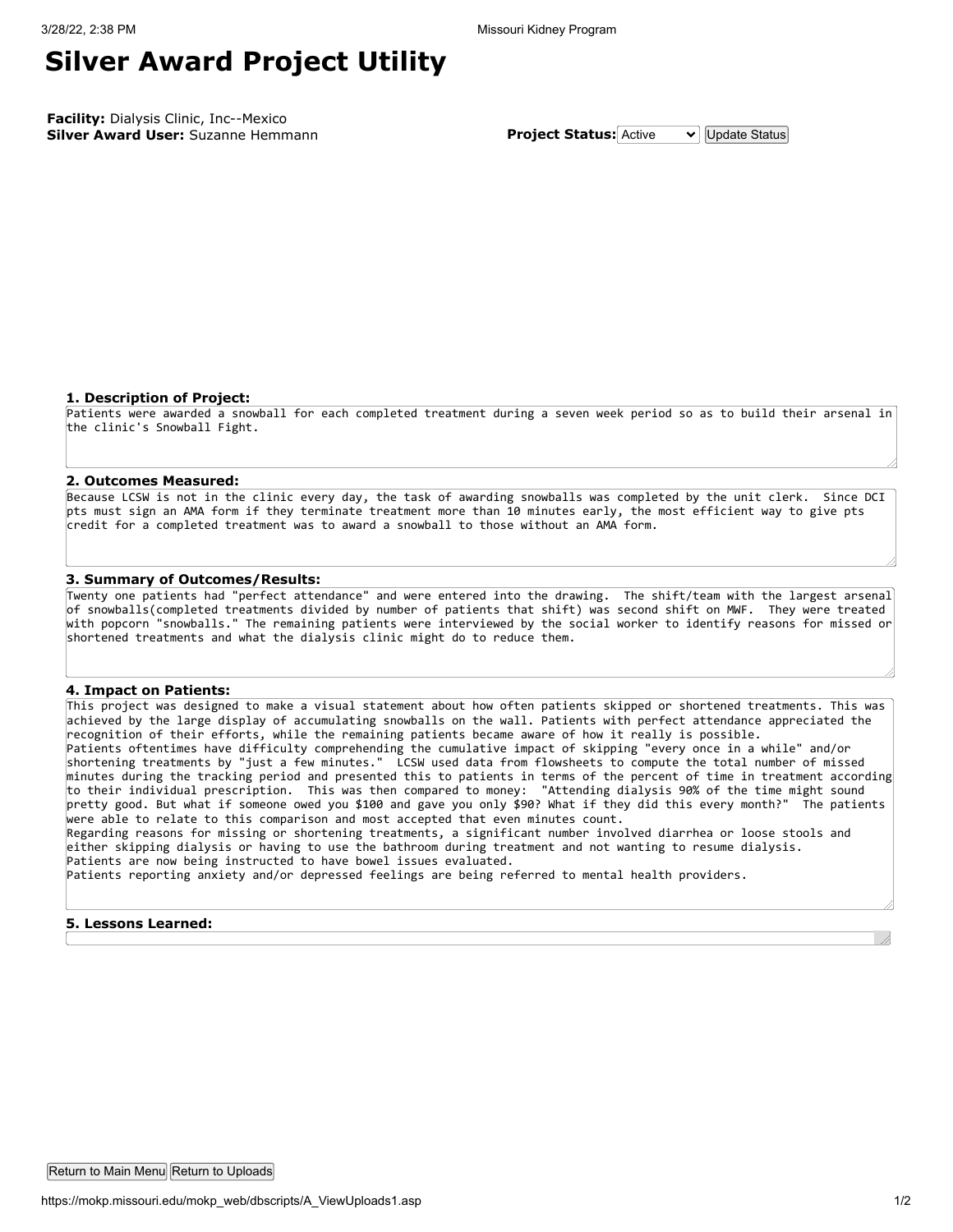## **Silver Award Project Utility**

**Facility:** Dialysis Clinic, Inc--Mexico **Silver Award User:** Suzanne Hemmann **Project Status:** Active  $\vee$  Update Status

#### **1. Description of Project:**

Patients were awarded a snowball for each completed treatment during a seven week period so as to build their arsenal in the clinic's Snowball Fight.

#### **2. Outcomes Measured:**

Because LCSW is not in the clinic every day, the task of awarding snowballs was completed by the unit clerk. Since DCI pts must sign an AMA form if they terminate treatment more than 10 minutes early, the most efficient way to give pts credit for a completed treatment was to award a snowball to those without an AMA form.

#### **3. Summary of Outcomes/Results:**

Twenty one patients had "perfect attendance" and were entered into the drawing. The shift/team with the largest arsenal of snowballs(completed treatments divided by number of patients that shift) was second shift on MWF. They were treated with popcorn "snowballs." The remaining patients were interviewed by the social worker to identify reasons for missed or shortened treatments and what the dialysis clinic might do to reduce them.

#### **4. Impact on Patients:**

This project was designed to make a visual statement about how often patients skipped or shortened treatments. This was achieved by the large display of accumulating snowballs on the wall. Patients with perfect attendance appreciated the recognition of their efforts, while the remaining patients became aware of how it really is possible. Patients oftentimes have difficulty comprehending the cumulative impact of skipping "every once in a while" and/or shortening treatments by "just a few minutes." LCSW used data from flowsheets to compute the total number of missed minutes during the tracking period and presented this to patients in terms of the percent of time in treatment according to their individual prescription. This was then compared to money: "Attending dialysis 90% of the time might sound pretty good. But what if someone owed you \$100 and gave you only \$90? What if they did this every month?" The patients were able to relate to this comparison and most accepted that even minutes count.

Regarding reasons for missing or shortening treatments, a significant number involved diarrhea or loose stools and either skipping dialysis or having to use the bathroom during treatment and not wanting to resume dialysis. Patients are now being instructed to have bowel issues evaluated.

Patients reporting anxiety and/or depressed feelings are being referred to mental health providers.

### **5. Lessons Learned:**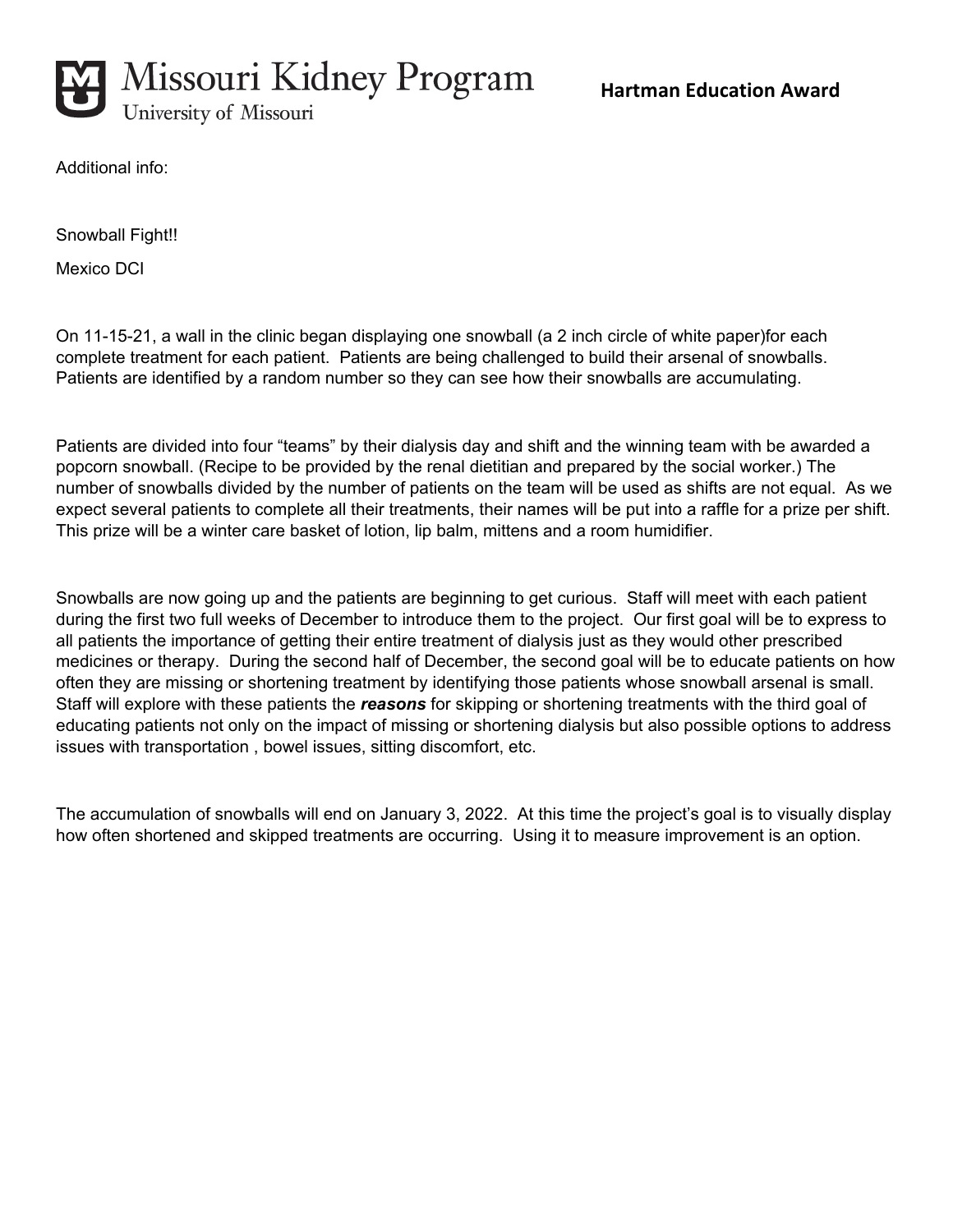

Additional info:

Snowball Fight!!

Mexico DCI

On 11-15-21, a wall in the clinic began displaying one snowball (a 2 inch circle of white paper)for each complete treatment for each patient. Patients are being challenged to build their arsenal of snowballs. Patients are identified by a random number so they can see how their snowballs are accumulating.

Patients are divided into four "teams" by their dialysis day and shift and the winning team with be awarded a popcorn snowball. (Recipe to be provided by the renal dietitian and prepared by the social worker.) The number of snowballs divided by the number of patients on the team will be used as shifts are not equal. As we expect several patients to complete all their treatments, their names will be put into a raffle for a prize per shift. This prize will be a winter care basket of lotion, lip balm, mittens and a room humidifier.

Snowballs are now going up and the patients are beginning to get curious. Staff will meet with each patient during the first two full weeks of December to introduce them to the project. Our first goal will be to express to all patients the importance of getting their entire treatment of dialysis just as they would other prescribed medicines or therapy. During the second half of December, the second goal will be to educate patients on how often they are missing or shortening treatment by identifying those patients whose snowball arsenal is small. Staff will explore with these patients the *reasons* for skipping or shortening treatments with the third goal of educating patients not only on the impact of missing or shortening dialysis but also possible options to address issues with transportation , bowel issues, sitting discomfort, etc.

The accumulation of snowballs will end on January 3, 2022. At this time the project's goal is to visually display how often shortened and skipped treatments are occurring. Using it to measure improvement is an option.